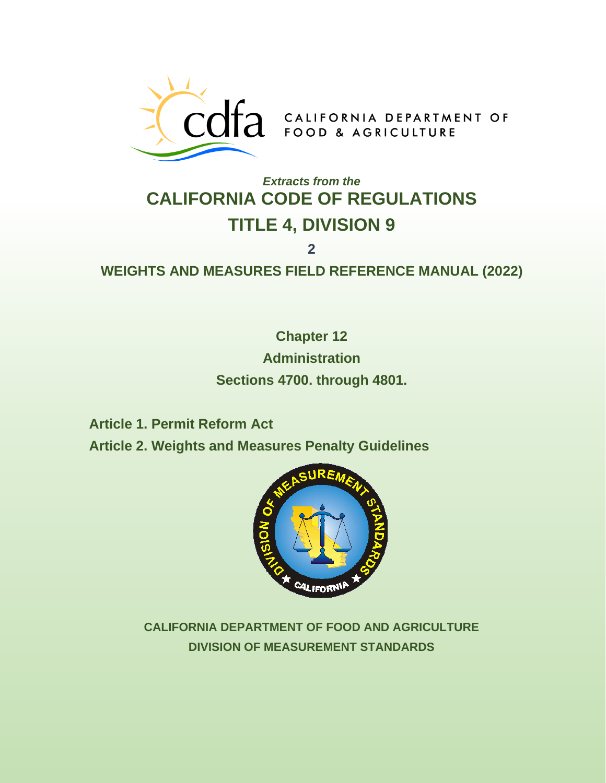

COTa CALIFORNIA DEPARTMENT OF

# *Extracts from the* **CALIFORNIA CODE OF REGULATIONS TITLE 4, DIVISION 9**

**2**

## **WEIGHTS AND MEASURES FIELD REFERENCE MANUAL (2022)**

**Chapter 12 Administration Sections 4700. through 4801.**

**Article 1. Permit Reform Act**

**Article 2. Weights and Measures Penalty Guidelines** 



**CALIFORNIA DEPARTMENT OF FOOD AND AGRICULTURE DIVISION OF MEASUREMENT STANDARDS**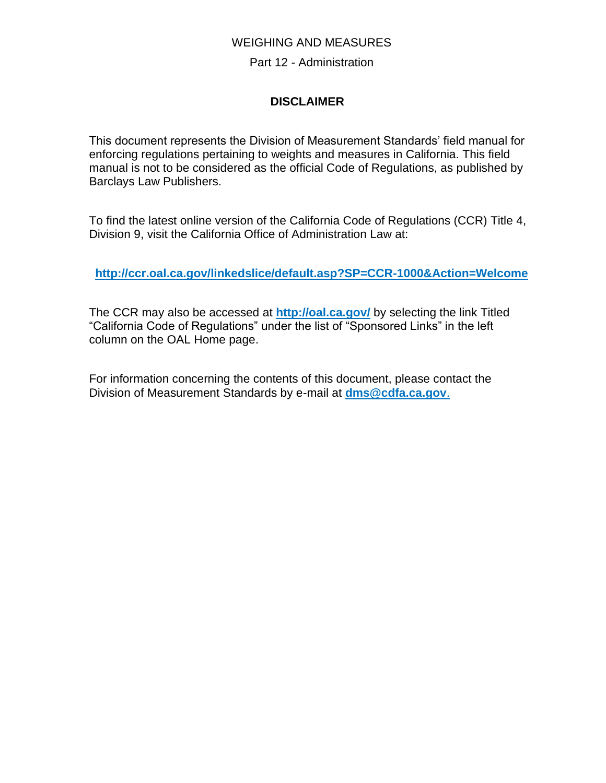#### WEIGHING AND MEASURES

Part 12 - Administration

#### **DISCLAIMER**

This document represents the Division of Measurement Standards' field manual for enforcing regulations pertaining to weights and measures in California. This field manual is not to be considered as the official Code of Regulations, as published by Barclays Law Publishers.

To find the latest online version of the California Code of Regulations (CCR) Title 4, Division 9, visit the California Office of Administration Law at:

**<http://ccr.oal.ca.gov/linkedslice/default.asp?SP=CCR-1000&Action=Welcome>**

The CCR may also be accessed at **<http://oal.ca.gov/>** by selecting the link Titled "California Code of Regulations" under the list of "Sponsored Links" in the left column on the OAL Home page.

For information concerning the contents of this document, please contact the Division of Measurement Standards by e-mail at **[dms@cdfa.ca.gov](mailto:dms@cdfa.ca.gov)**.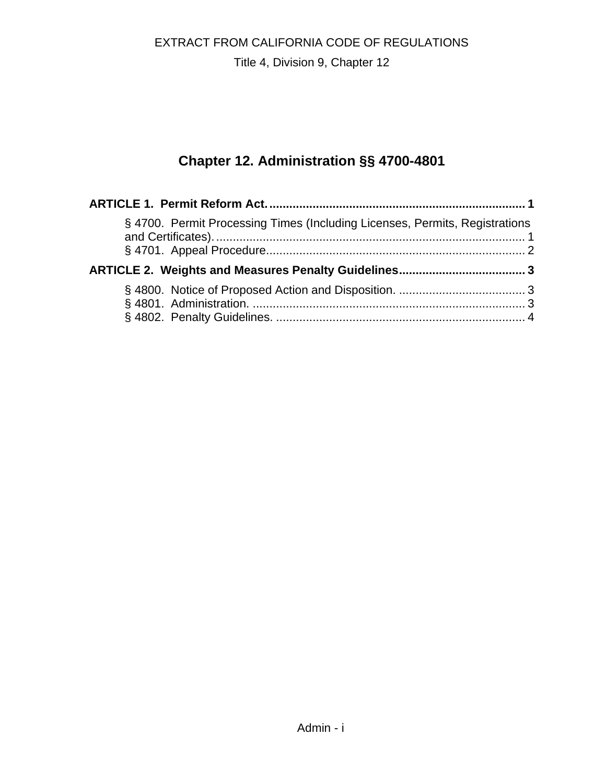## **Chapter 12. Administration §§ 4700-4801**

| § 4700. Permit Processing Times (Including Licenses, Permits, Registrations |  |
|-----------------------------------------------------------------------------|--|
|                                                                             |  |
|                                                                             |  |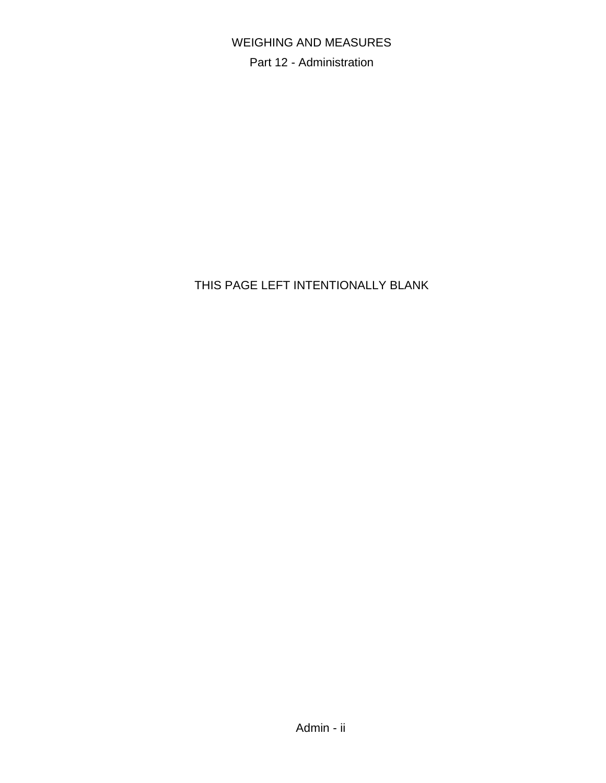## WEIGHING AND MEASURES Part 12 - Administration

## THIS PAGE LEFT INTENTIONALLY BLANK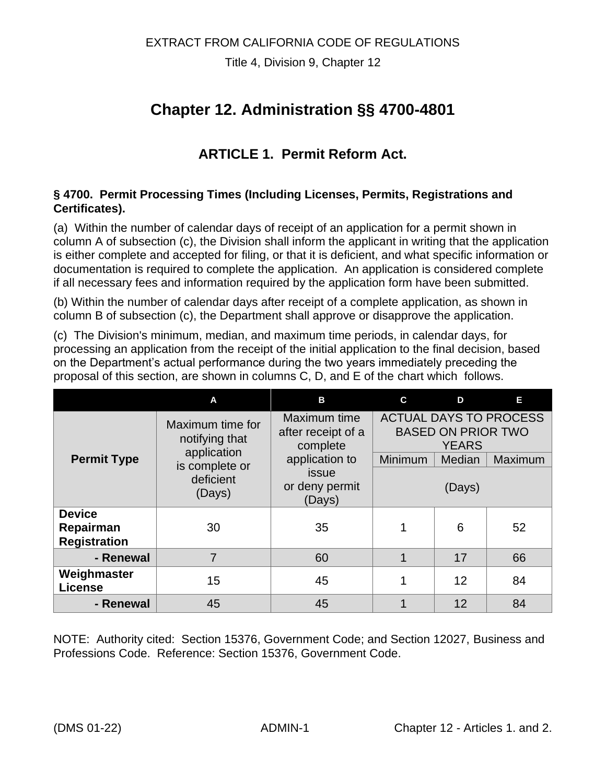Title 4, Division 9, Chapter 12

## **Chapter 12. Administration §§ 4700-4801**

## **ARTICLE 1. Permit Reform Act.**

#### <span id="page-4-1"></span><span id="page-4-0"></span>**§ 4700. Permit Processing Times (Including Licenses, Permits, Registrations and Certificates).**

(a) Within the number of calendar days of receipt of an application for a permit shown in column A of subsection (c), the Division shall inform the applicant in writing that the application is either complete and accepted for filing, or that it is deficient, and what specific information or documentation is required to complete the application. An application is considered complete if all necessary fees and information required by the application form have been submitted.

(b) Within the number of calendar days after receipt of a complete application, as shown in column B of subsection (c), the Department shall approve or disapprove the application.

(c) The Division's minimum, median, and maximum time periods, in calendar days, for processing an application from the receipt of the initial application to the final decision, based on the Department's actual performance during the two years immediately preceding the proposal of this section, are shown in columns C, D, and E of the chart which follows.

|                               | A                                                 | в                                              | C              | D                                                                          | Е  |  |  |
|-------------------------------|---------------------------------------------------|------------------------------------------------|----------------|----------------------------------------------------------------------------|----|--|--|
|                               | Maximum time for<br>notifying that<br>application | Maximum time<br>after receipt of a<br>complete |                | <b>ACTUAL DAYS TO PROCESS</b><br><b>BASED ON PRIOR TWO</b><br><b>YEARS</b> |    |  |  |
| <b>Permit Type</b>            | is complete or                                    | application to                                 | <b>Minimum</b> | Maximum                                                                    |    |  |  |
|                               | deficient<br>(Days)                               | issue<br>or deny permit<br>(Days)              | (Days)         |                                                                            |    |  |  |
| <b>Device</b>                 |                                                   |                                                |                |                                                                            |    |  |  |
| Repairman                     | 30                                                | 35                                             |                | 6                                                                          | 52 |  |  |
| <b>Registration</b>           |                                                   |                                                |                |                                                                            |    |  |  |
| - Renewal                     | 7                                                 | 60                                             | $\overline{1}$ | 17                                                                         | 66 |  |  |
| Weighmaster<br><b>License</b> | 15                                                | 45                                             |                | 12                                                                         | 84 |  |  |
| - Renewal                     | 45                                                | 45                                             |                | 12                                                                         | 84 |  |  |

NOTE: Authority cited: Section 15376, Government Code; and Section 12027, Business and Professions Code. Reference: Section 15376, Government Code.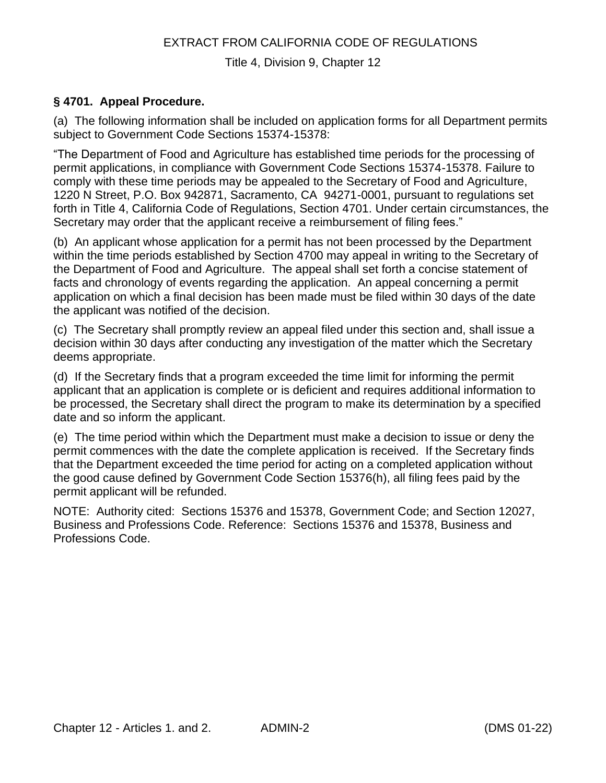Title 4, Division 9, Chapter 12

#### <span id="page-5-0"></span>**§ 4701. Appeal Procedure.**

(a) The following information shall be included on application forms for all Department permits subject to Government Code Sections 15374-15378:

"The Department of Food and Agriculture has established time periods for the processing of permit applications, in compliance with Government Code Sections 15374-15378. Failure to comply with these time periods may be appealed to the Secretary of Food and Agriculture, 1220 N Street, P.O. Box 942871, Sacramento, CA 94271-0001, pursuant to regulations set forth in Title 4, California Code of Regulations, Section 4701. Under certain circumstances, the Secretary may order that the applicant receive a reimbursement of filing fees."

(b) An applicant whose application for a permit has not been processed by the Department within the time periods established by Section 4700 may appeal in writing to the Secretary of the Department of Food and Agriculture. The appeal shall set forth a concise statement of facts and chronology of events regarding the application. An appeal concerning a permit application on which a final decision has been made must be filed within 30 days of the date the applicant was notified of the decision.

(c) The Secretary shall promptly review an appeal filed under this section and, shall issue a decision within 30 days after conducting any investigation of the matter which the Secretary deems appropriate.

(d) If the Secretary finds that a program exceeded the time limit for informing the permit applicant that an application is complete or is deficient and requires additional information to be processed, the Secretary shall direct the program to make its determination by a specified date and so inform the applicant.

(e) The time period within which the Department must make a decision to issue or deny the permit commences with the date the complete application is received. If the Secretary finds that the Department exceeded the time period for acting on a completed application without the good cause defined by Government Code Section 15376(h), all filing fees paid by the permit applicant will be refunded.

NOTE: Authority cited: Sections 15376 and 15378, Government Code; and Section 12027, Business and Professions Code. Reference: Sections 15376 and 15378, Business and Professions Code.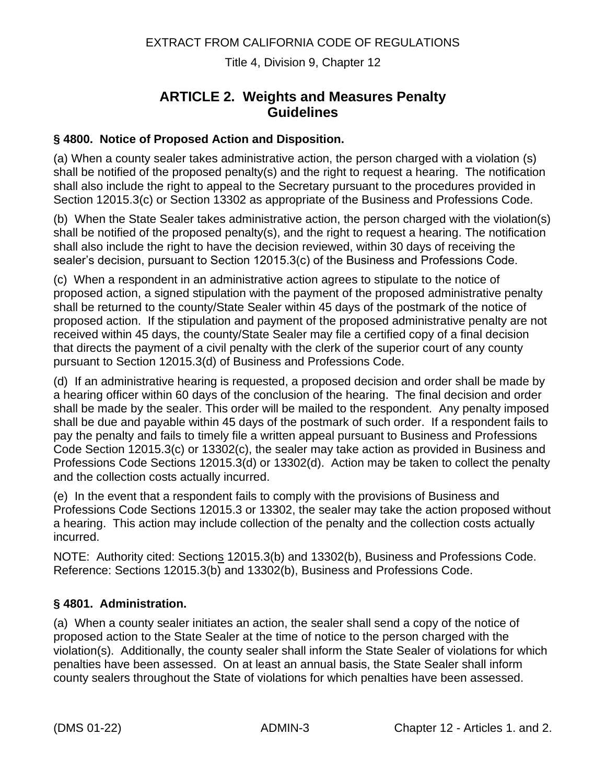Title 4, Division 9, Chapter 12

#### **ARTICLE 2. Weights and Measures Penalty Guidelines**

#### <span id="page-6-1"></span><span id="page-6-0"></span>**§ 4800. Notice of Proposed Action and Disposition.**

(a) When a county sealer takes administrative action, the person charged with a violation (s) shall be notified of the proposed penalty(s) and the right to request a hearing. The notification shall also include the right to appeal to the Secretary pursuant to the procedures provided in Section 12015.3(c) or Section 13302 as appropriate of the Business and Professions Code.

(b) When the State Sealer takes administrative action, the person charged with the violation(s) shall be notified of the proposed penalty(s), and the right to request a hearing. The notification shall also include the right to have the decision reviewed, within 30 days of receiving the sealer's decision, pursuant to Section 12015.3(c) of the Business and Professions Code.

(c) When a respondent in an administrative action agrees to stipulate to the notice of proposed action, a signed stipulation with the payment of the proposed administrative penalty shall be returned to the county/State Sealer within 45 days of the postmark of the notice of proposed action. If the stipulation and payment of the proposed administrative penalty are not received within 45 days, the county/State Sealer may file a certified copy of a final decision that directs the payment of a civil penalty with the clerk of the superior court of any county pursuant to Section 12015.3(d) of Business and Professions Code.

(d) If an administrative hearing is requested, a proposed decision and order shall be made by a hearing officer within 60 days of the conclusion of the hearing. The final decision and order shall be made by the sealer. This order will be mailed to the respondent. Any penalty imposed shall be due and payable within 45 days of the postmark of such order. If a respondent fails to pay the penalty and fails to timely file a written appeal pursuant to Business and Professions Code Section 12015.3(c) or 13302(c), the sealer may take action as provided in Business and Professions Code Sections 12015.3(d) or 13302(d). Action may be taken to collect the penalty and the collection costs actually incurred.

(e) In the event that a respondent fails to comply with the provisions of Business and Professions Code Sections 12015.3 or 13302, the sealer may take the action proposed without a hearing. This action may include collection of the penalty and the collection costs actually incurred.

NOTE: Authority cited: Sections 12015.3(b) and 13302(b), Business and Professions Code. Reference: Sections 12015.3(b) and 13302(b), Business and Professions Code.

#### <span id="page-6-2"></span>**§ 4801. Administration.**

(a) When a county sealer initiates an action, the sealer shall send a copy of the notice of proposed action to the State Sealer at the time of notice to the person charged with the violation(s). Additionally, the county sealer shall inform the State Sealer of violations for which penalties have been assessed. On at least an annual basis, the State Sealer shall inform county sealers throughout the State of violations for which penalties have been assessed.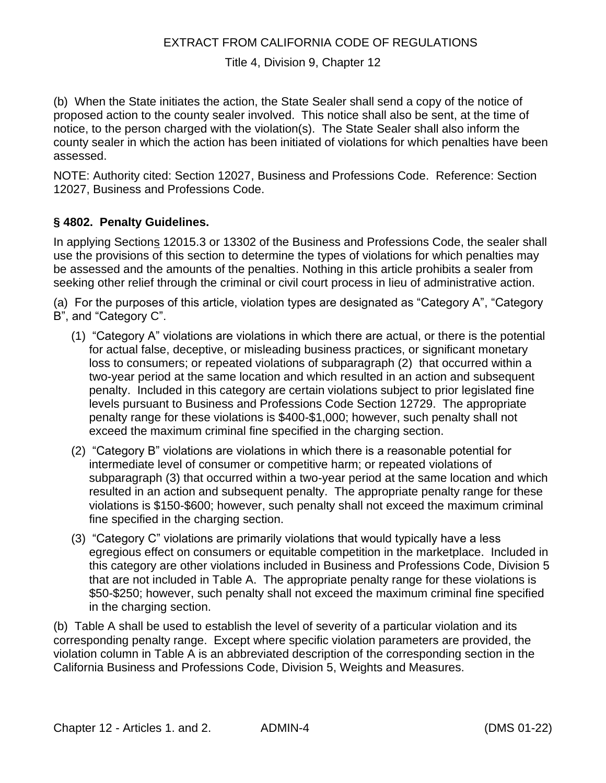#### Title 4, Division 9, Chapter 12

(b) When the State initiates the action, the State Sealer shall send a copy of the notice of proposed action to the county sealer involved. This notice shall also be sent, at the time of notice, to the person charged with the violation(s). The State Sealer shall also inform the county sealer in which the action has been initiated of violations for which penalties have been assessed.

NOTE: Authority cited: Section 12027, Business and Professions Code. Reference: Section 12027, Business and Professions Code.

#### <span id="page-7-0"></span>**§ 4802. Penalty Guidelines.**

In applying Sections 12015.3 or 13302 of the Business and Professions Code, the sealer shall use the provisions of this section to determine the types of violations for which penalties may be assessed and the amounts of the penalties. Nothing in this article prohibits a sealer from seeking other relief through the criminal or civil court process in lieu of administrative action.

(a) For the purposes of this article, violation types are designated as "Category A", "Category B", and "Category C".

- (1) "Category A" violations are violations in which there are actual, or there is the potential for actual false, deceptive, or misleading business practices, or significant monetary loss to consumers; or repeated violations of subparagraph (2) that occurred within a two-year period at the same location and which resulted in an action and subsequent penalty. Included in this category are certain violations subject to prior legislated fine levels pursuant to Business and Professions Code Section 12729. The appropriate penalty range for these violations is \$400-\$1,000; however, such penalty shall not exceed the maximum criminal fine specified in the charging section.
- (2) "Category B" violations are violations in which there is a reasonable potential for intermediate level of consumer or competitive harm; or repeated violations of subparagraph (3) that occurred within a two-year period at the same location and which resulted in an action and subsequent penalty. The appropriate penalty range for these violations is \$150-\$600; however, such penalty shall not exceed the maximum criminal fine specified in the charging section.
- (3) "Category C" violations are primarily violations that would typically have a less egregious effect on consumers or equitable competition in the marketplace. Included in this category are other violations included in Business and Professions Code, Division 5 that are not included in Table A. The appropriate penalty range for these violations is \$50-\$250; however, such penalty shall not exceed the maximum criminal fine specified in the charging section.

(b) Table A shall be used to establish the level of severity of a particular violation and its corresponding penalty range. Except where specific violation parameters are provided, the violation column in Table A is an abbreviated description of the corresponding section in the California Business and Professions Code, Division 5, Weights and Measures.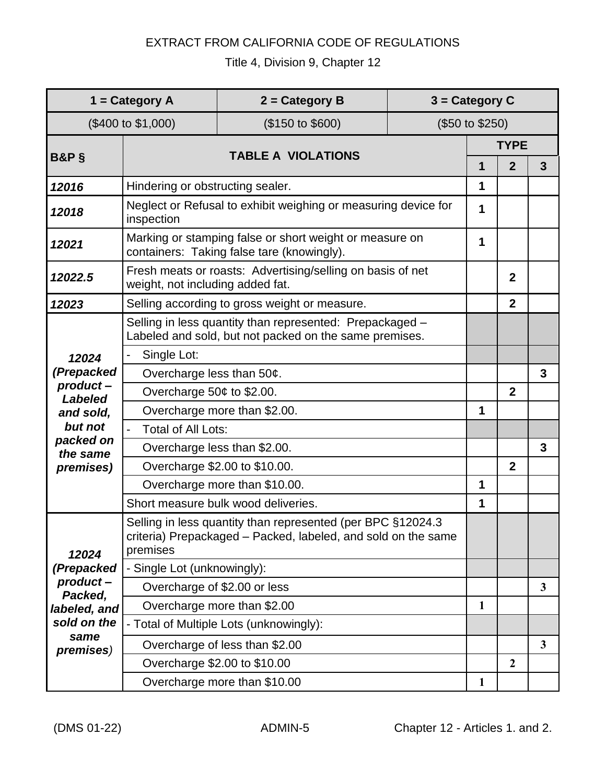|                             | $1 =$ Category A                                                                               | $2 =$ Category B                                                                                                              | $3 =$ Category C |                 |                |              |
|-----------------------------|------------------------------------------------------------------------------------------------|-------------------------------------------------------------------------------------------------------------------------------|------------------|-----------------|----------------|--------------|
|                             | (\$400 to \$1,000)                                                                             | (\$150 to \$600)                                                                                                              |                  | (\$50 to \$250) |                |              |
|                             |                                                                                                |                                                                                                                               |                  |                 | <b>TYPE</b>    |              |
| <b>B&amp;P §</b>            |                                                                                                | <b>TABLE A VIOLATIONS</b>                                                                                                     |                  | 1               | $\overline{2}$ | 3            |
| 12016                       | Hindering or obstructing sealer.                                                               |                                                                                                                               |                  | 1               |                |              |
| 12018                       | inspection                                                                                     | Neglect or Refusal to exhibit weighing or measuring device for                                                                |                  | 1               |                |              |
| 12021                       |                                                                                                | Marking or stamping false or short weight or measure on<br>containers: Taking false tare (knowingly).                         |                  | 1               |                |              |
| 12022.5                     | Fresh meats or roasts: Advertising/selling on basis of net<br>weight, not including added fat. |                                                                                                                               | $\overline{2}$   |                 |                |              |
| 12023                       |                                                                                                | Selling according to gross weight or measure.                                                                                 |                  |                 | $\overline{2}$ |              |
|                             |                                                                                                | Selling in less quantity than represented: Prepackaged -<br>Labeled and sold, but not packed on the same premises.            |                  |                 |                |              |
| 12024                       | Single Lot:                                                                                    |                                                                                                                               |                  |                 |                |              |
| (Prepacked                  | Overcharge less than $50¢$ .                                                                   |                                                                                                                               |                  |                 |                | 3            |
| product-                    | Overcharge $50¢$ to \$2.00.                                                                    |                                                                                                                               |                  |                 | $\overline{2}$ |              |
| <b>Labeled</b><br>and sold, |                                                                                                | Overcharge more than \$2.00.                                                                                                  |                  | 1               |                |              |
| but not                     | Total of All Lots:<br>$\mathcal{L}^{\pm}$                                                      |                                                                                                                               |                  |                 |                |              |
| packed on<br>the same       |                                                                                                | Overcharge less than \$2.00.                                                                                                  |                  |                 |                | 3            |
| premises)                   |                                                                                                | Overcharge \$2.00 to \$10.00.                                                                                                 |                  |                 | $\overline{2}$ |              |
|                             |                                                                                                | Overcharge more than \$10.00.                                                                                                 |                  | 1               |                |              |
|                             |                                                                                                | Short measure bulk wood deliveries.                                                                                           |                  | 1               |                |              |
| 12024                       | premises                                                                                       | Selling in less quantity than represented (per BPC §12024.3)<br>criteria) Prepackaged – Packed, labeled, and sold on the same |                  |                 |                |              |
| (Prepacked                  | - Single Lot (unknowingly):                                                                    |                                                                                                                               |                  |                 |                |              |
| $product -$<br>Packed,      | Overcharge of \$2.00 or less                                                                   |                                                                                                                               |                  |                 |                | $\mathbf{3}$ |
| labeled, and                |                                                                                                | Overcharge more than \$2.00                                                                                                   |                  | 1               |                |              |
| sold on the<br>same         |                                                                                                | - Total of Multiple Lots (unknowingly):                                                                                       |                  |                 |                |              |
| premises)                   |                                                                                                | Overcharge of less than \$2.00                                                                                                |                  |                 |                | $\mathbf{3}$ |
|                             |                                                                                                | Overcharge \$2.00 to \$10.00                                                                                                  |                  |                 | $\overline{2}$ |              |
|                             |                                                                                                | Overcharge more than \$10.00                                                                                                  |                  | 1               |                |              |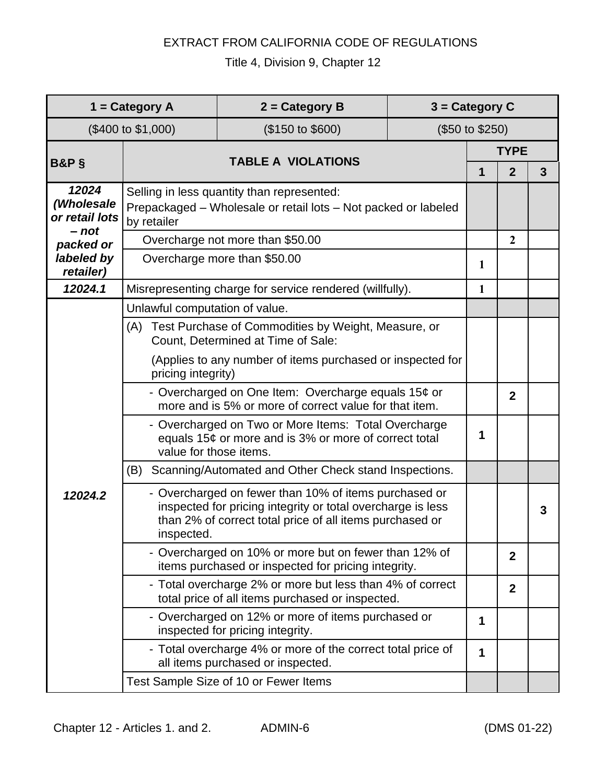|                                                  | $1 =$ Category A<br>$2 =$ Category B<br>$3 =$ Category C                                                                                |                                                                                                                                                                                  |  |              |                  |   |
|--------------------------------------------------|-----------------------------------------------------------------------------------------------------------------------------------------|----------------------------------------------------------------------------------------------------------------------------------------------------------------------------------|--|--------------|------------------|---|
|                                                  | (\$400 to \$1,000)<br>(\$150 to \$600)<br>(\$50 to \$250)                                                                               |                                                                                                                                                                                  |  |              |                  |   |
|                                                  | <b>TABLE A VIOLATIONS</b>                                                                                                               |                                                                                                                                                                                  |  |              | <b>TYPE</b>      |   |
| <b>B&amp;P §</b>                                 |                                                                                                                                         |                                                                                                                                                                                  |  | 1            | $\overline{2}$   | 3 |
| 12024<br>(Wholesale<br>or retail lots<br>$- not$ | by retailer                                                                                                                             | Selling in less quantity than represented:<br>Prepackaged - Wholesale or retail lots - Not packed or labeled                                                                     |  |              |                  |   |
| packed or                                        |                                                                                                                                         | Overcharge not more than \$50.00                                                                                                                                                 |  |              | $\overline{2}$   |   |
| labeled by<br>retailer)                          |                                                                                                                                         | Overcharge more than \$50.00                                                                                                                                                     |  | 1            |                  |   |
| 12024.1                                          |                                                                                                                                         | Misrepresenting charge for service rendered (willfully).                                                                                                                         |  | $\mathbf{1}$ |                  |   |
|                                                  | Unlawful computation of value.<br>(A)                                                                                                   | Test Purchase of Commodities by Weight, Measure, or                                                                                                                              |  |              |                  |   |
|                                                  | pricing integrity)                                                                                                                      | Count, Determined at Time of Sale:<br>(Applies to any number of items purchased or inspected for                                                                                 |  |              |                  |   |
|                                                  | - Overcharged on One Item: Overcharge equals 15¢ or<br>more and is 5% or more of correct value for that item.                           |                                                                                                                                                                                  |  |              | $\overline{2}$   |   |
|                                                  | - Overcharged on Two or More Items: Total Overcharge<br>equals 15¢ or more and is 3% or more of correct total<br>value for those items. |                                                                                                                                                                                  |  |              |                  |   |
|                                                  |                                                                                                                                         | (B) Scanning/Automated and Other Check stand Inspections.                                                                                                                        |  |              |                  |   |
| 12024.2                                          | inspected.                                                                                                                              | - Overcharged on fewer than 10% of items purchased or<br>inspected for pricing integrity or total overcharge is less<br>than 2% of correct total price of all items purchased or |  |              |                  | 3 |
|                                                  |                                                                                                                                         | - Overcharged on 10% or more but on fewer than 12% of<br>items purchased or inspected for pricing integrity.                                                                     |  |              | $\boldsymbol{2}$ |   |
|                                                  |                                                                                                                                         | - Total overcharge 2% or more but less than 4% of correct<br>total price of all items purchased or inspected.                                                                    |  |              | $\boldsymbol{2}$ |   |
|                                                  |                                                                                                                                         | - Overcharged on 12% or more of items purchased or<br>inspected for pricing integrity.                                                                                           |  | 1            |                  |   |
|                                                  |                                                                                                                                         | - Total overcharge 4% or more of the correct total price of<br>all items purchased or inspected.                                                                                 |  | 1            |                  |   |
|                                                  |                                                                                                                                         | Test Sample Size of 10 or Fewer Items                                                                                                                                            |  |              |                  |   |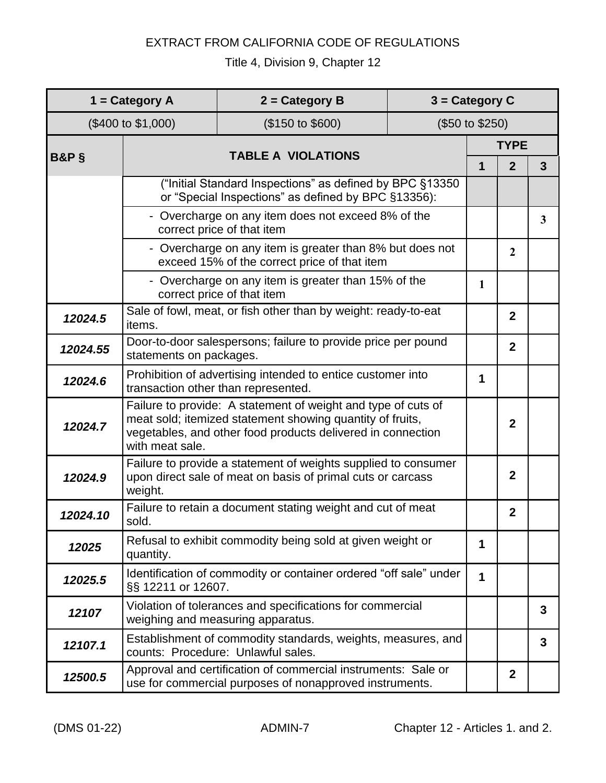|                  | $1 =$ Category A                                                                                   | $2 =$ Category B                                                                                                                                                                          | $3 =$ Category C |                 |                  |   |
|------------------|----------------------------------------------------------------------------------------------------|-------------------------------------------------------------------------------------------------------------------------------------------------------------------------------------------|------------------|-----------------|------------------|---|
|                  | (\$400 to \$1,000)                                                                                 | (\$150 to \$600)                                                                                                                                                                          |                  | (\$50 to \$250) |                  |   |
|                  |                                                                                                    |                                                                                                                                                                                           |                  |                 | <b>TYPE</b>      |   |
| <b>B&amp;P §</b> |                                                                                                    | <b>TABLE A VIOLATIONS</b>                                                                                                                                                                 |                  | 1               | $\overline{2}$   | 3 |
|                  |                                                                                                    | ("Initial Standard Inspections" as defined by BPC §13350<br>or "Special Inspections" as defined by BPC §13356):                                                                           |                  |                 |                  |   |
|                  |                                                                                                    | - Overcharge on any item does not exceed 8% of the<br>correct price of that item                                                                                                          |                  |                 |                  | 3 |
|                  |                                                                                                    | - Overcharge on any item is greater than 8% but does not<br>exceed 15% of the correct price of that item                                                                                  |                  |                 | $\overline{2}$   |   |
|                  |                                                                                                    | - Overcharge on any item is greater than 15% of the<br>correct price of that item                                                                                                         |                  | 1               |                  |   |
| 12024.5          | <i>items.</i>                                                                                      | Sale of fowl, meat, or fish other than by weight: ready-to-eat                                                                                                                            |                  |                 | $\mathbf{2}$     |   |
| 12024.55         |                                                                                                    | Door-to-door salespersons; failure to provide price per pound<br>statements on packages.                                                                                                  |                  |                 | $\mathbf{2}$     |   |
| 12024.6          | Prohibition of advertising intended to entice customer into<br>transaction other than represented. |                                                                                                                                                                                           |                  | 1               |                  |   |
| 12024.7          | with meat sale.                                                                                    | Failure to provide: A statement of weight and type of cuts of<br>meat sold; itemized statement showing quantity of fruits,<br>vegetables, and other food products delivered in connection |                  |                 |                  |   |
| 12024.9          | weight.                                                                                            | Failure to provide a statement of weights supplied to consumer<br>upon direct sale of meat on basis of primal cuts or carcass                                                             |                  |                 | $\mathbf{2}$     |   |
| 12024.10         | sold.                                                                                              | Failure to retain a document stating weight and cut of meat                                                                                                                               |                  |                 | $\boldsymbol{2}$ |   |
| 12025            | quantity.                                                                                          | Refusal to exhibit commodity being sold at given weight or                                                                                                                                |                  | 1               |                  |   |
| 12025.5          | §§ 12211 or 12607.                                                                                 | Identification of commodity or container ordered "off sale" under                                                                                                                         |                  | 1               |                  |   |
| 12107            |                                                                                                    | Violation of tolerances and specifications for commercial<br>weighing and measuring apparatus.                                                                                            |                  |                 |                  | 3 |
| 12107.1          |                                                                                                    | Establishment of commodity standards, weights, measures, and<br>counts: Procedure: Unlawful sales.                                                                                        |                  |                 |                  | 3 |
| 12500.5          |                                                                                                    | Approval and certification of commercial instruments: Sale or<br>use for commercial purposes of nonapproved instruments.                                                                  |                  |                 | $\overline{2}$   |   |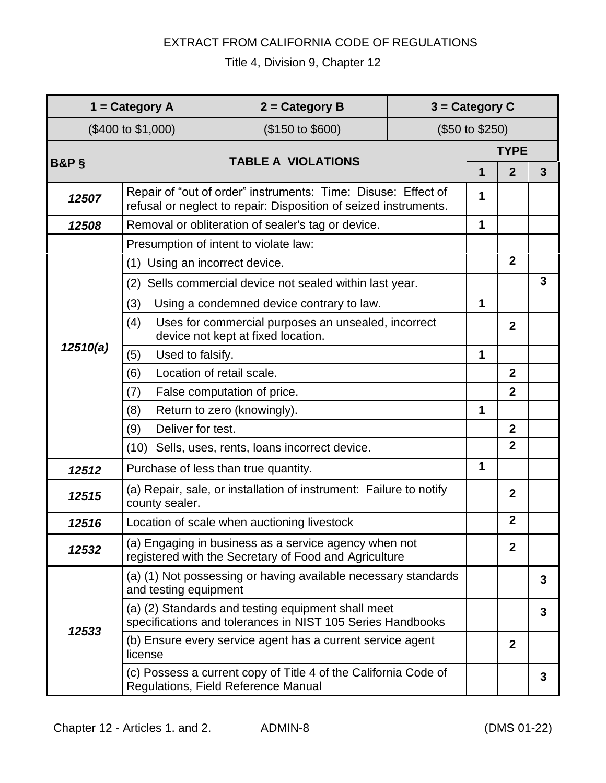|                                        | $1 =$ Category A                                                                                                                  | $2 =$ Category B                                                                                                 | $3 =$ Category C |   |                  |              |
|----------------------------------------|-----------------------------------------------------------------------------------------------------------------------------------|------------------------------------------------------------------------------------------------------------------|------------------|---|------------------|--------------|
| (\$400 to \$1,000)<br>(\$150 to \$600) |                                                                                                                                   |                                                                                                                  | (\$50 to \$250)  |   |                  |              |
|                                        |                                                                                                                                   |                                                                                                                  |                  |   | <b>TYPE</b>      |              |
| <b>B&amp;P §</b>                       | <b>TABLE A VIOLATIONS</b>                                                                                                         |                                                                                                                  |                  | 1 | $\overline{2}$   | 3            |
| 12507                                  | Repair of "out of order" instruments: Time: Disuse: Effect of<br>refusal or neglect to repair: Disposition of seized instruments. |                                                                                                                  |                  | 1 |                  |              |
| 12508                                  | Removal or obliteration of sealer's tag or device.                                                                                |                                                                                                                  |                  | 1 |                  |              |
|                                        |                                                                                                                                   | Presumption of intent to violate law:                                                                            |                  |   |                  |              |
|                                        | Using an incorrect device.<br>(1)                                                                                                 |                                                                                                                  |                  |   | $\mathbf{2}$     |              |
|                                        | (2)                                                                                                                               | Sells commercial device not sealed within last year.                                                             |                  |   |                  | $\mathbf{3}$ |
|                                        | (3)                                                                                                                               | Using a condemned device contrary to law.                                                                        |                  | 1 |                  |              |
|                                        | Uses for commercial purposes an unsealed, incorrect<br>(4)<br>device not kept at fixed location.                                  |                                                                                                                  |                  |   | $\mathbf{2}$     |              |
| 12510(a)                               | (5)<br>Used to falsify.                                                                                                           |                                                                                                                  |                  | 1 |                  |              |
|                                        | Location of retail scale.<br>(6)                                                                                                  |                                                                                                                  |                  |   | $\overline{2}$   |              |
|                                        | (7)                                                                                                                               | False computation of price.                                                                                      |                  |   | $\overline{2}$   |              |
|                                        | (8)<br>Return to zero (knowingly).                                                                                                |                                                                                                                  |                  |   |                  |              |
|                                        | Deliver for test.<br>(9)                                                                                                          |                                                                                                                  |                  |   | $\mathbf{2}$     |              |
|                                        |                                                                                                                                   | (10) Sells, uses, rents, loans incorrect device.                                                                 |                  |   | $\mathbf{2}$     |              |
| 12512                                  |                                                                                                                                   | Purchase of less than true quantity.                                                                             |                  | 1 |                  |              |
| 12515                                  | county sealer.                                                                                                                    | (a) Repair, sale, or installation of instrument: Failure to notify                                               |                  |   | $\mathbf{2}$     |              |
| 12516                                  |                                                                                                                                   | Location of scale when auctioning livestock                                                                      |                  |   | $\mathbf{2}$     |              |
| 12532                                  |                                                                                                                                   | (a) Engaging in business as a service agency when not<br>registered with the Secretary of Food and Agriculture   |                  |   | $\boldsymbol{2}$ |              |
|                                        | and testing equipment                                                                                                             | (a) (1) Not possessing or having available necessary standards                                                   |                  |   |                  | 3            |
| 12533                                  |                                                                                                                                   | (a) (2) Standards and testing equipment shall meet<br>specifications and tolerances in NIST 105 Series Handbooks |                  |   |                  | 3            |
|                                        | license                                                                                                                           | (b) Ensure every service agent has a current service agent                                                       |                  |   | $\overline{2}$   |              |
|                                        |                                                                                                                                   | (c) Possess a current copy of Title 4 of the California Code of<br>Regulations, Field Reference Manual           |                  |   |                  | 3            |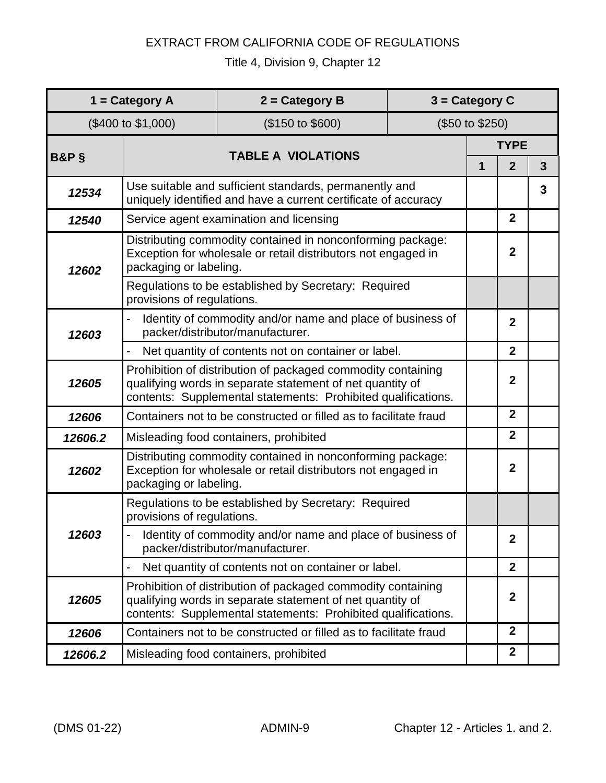|                  | $1 =$ Category A                                                                                                                                                                           | $2 =$ Category B                                                                                                                                                                           | $3 =$ Category C |                 |                  |   |
|------------------|--------------------------------------------------------------------------------------------------------------------------------------------------------------------------------------------|--------------------------------------------------------------------------------------------------------------------------------------------------------------------------------------------|------------------|-----------------|------------------|---|
|                  | (\$400 to \$1,000)                                                                                                                                                                         | (\$150 to \$600)                                                                                                                                                                           |                  | (\$50 to \$250) |                  |   |
|                  |                                                                                                                                                                                            |                                                                                                                                                                                            |                  |                 | <b>TYPE</b>      |   |
| <b>B&amp;P §</b> |                                                                                                                                                                                            | <b>TABLE A VIOLATIONS</b>                                                                                                                                                                  |                  | 1               | $\overline{2}$   | 3 |
| 12534            |                                                                                                                                                                                            | Use suitable and sufficient standards, permanently and<br>uniquely identified and have a current certificate of accuracy                                                                   |                  |                 |                  | 3 |
| 12540            |                                                                                                                                                                                            | Service agent examination and licensing                                                                                                                                                    |                  |                 | $\overline{2}$   |   |
| 12602            | Distributing commodity contained in nonconforming package:<br>Exception for wholesale or retail distributors not engaged in<br>packaging or labeling.                                      |                                                                                                                                                                                            |                  |                 | $\mathbf{2}$     |   |
|                  | provisions of regulations.                                                                                                                                                                 | Regulations to be established by Secretary: Required                                                                                                                                       |                  |                 |                  |   |
| 12603            |                                                                                                                                                                                            | Identity of commodity and/or name and place of business of<br>packer/distributor/manufacturer.                                                                                             |                  |                 | $\mathbf{2}$     |   |
|                  |                                                                                                                                                                                            | Net quantity of contents not on container or label.                                                                                                                                        |                  |                 | $\overline{2}$   |   |
| 12605            | Prohibition of distribution of packaged commodity containing<br>qualifying words in separate statement of net quantity of<br>contents: Supplemental statements: Prohibited qualifications. |                                                                                                                                                                                            |                  |                 | $\mathbf{2}$     |   |
| 12606            |                                                                                                                                                                                            | Containers not to be constructed or filled as to facilitate fraud                                                                                                                          |                  |                 | $\overline{2}$   |   |
| 12606.2          |                                                                                                                                                                                            | Misleading food containers, prohibited                                                                                                                                                     |                  |                 | $\mathbf{2}$     |   |
| 12602            | packaging or labeling.                                                                                                                                                                     | Distributing commodity contained in nonconforming package:<br>Exception for wholesale or retail distributors not engaged in                                                                |                  |                 | $\mathbf{2}$     |   |
|                  | provisions of regulations.                                                                                                                                                                 | Regulations to be established by Secretary: Required                                                                                                                                       |                  |                 |                  |   |
| 12603            |                                                                                                                                                                                            | Identity of commodity and/or name and place of business of<br>packer/distributor/manufacturer.                                                                                             |                  |                 | $\boldsymbol{2}$ |   |
|                  |                                                                                                                                                                                            | Net quantity of contents not on container or label.                                                                                                                                        |                  |                 | $\overline{2}$   |   |
| 12605            |                                                                                                                                                                                            | Prohibition of distribution of packaged commodity containing<br>qualifying words in separate statement of net quantity of<br>contents: Supplemental statements: Prohibited qualifications. |                  |                 | $\mathbf{2}$     |   |
| 12606            |                                                                                                                                                                                            | Containers not to be constructed or filled as to facilitate fraud                                                                                                                          |                  |                 | $\mathbf{2}$     |   |
| 12606.2          |                                                                                                                                                                                            | Misleading food containers, prohibited                                                                                                                                                     |                  |                 | $\mathbf{2}$     |   |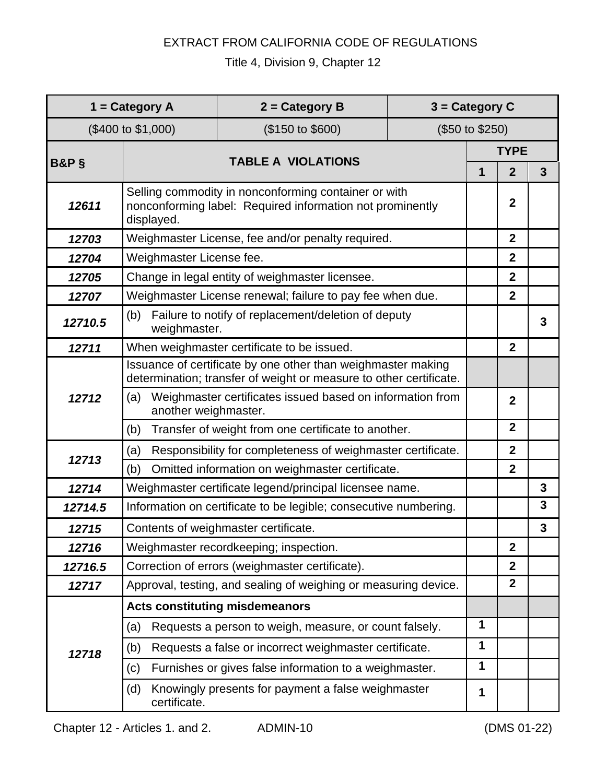|                  | $1 =$ Category A            | $2 =$ Category B                                                                                                                   | $3 =$ Category C |   |                         |   |
|------------------|-----------------------------|------------------------------------------------------------------------------------------------------------------------------------|------------------|---|-------------------------|---|
|                  | (\$400 to \$1,000)          | (\$150 to \$600)                                                                                                                   | (\$50 to \$250)  |   |                         |   |
|                  |                             |                                                                                                                                    |                  |   | <b>TYPE</b>             |   |
| <b>B&amp;P §</b> |                             | <b>TABLE A VIOLATIONS</b>                                                                                                          |                  | 1 | $\overline{2}$          | 3 |
| 12611            | displayed.                  | Selling commodity in nonconforming container or with<br>nonconforming label: Required information not prominently                  |                  |   | $\mathbf{2}$            |   |
| 12703            |                             | Weighmaster License, fee and/or penalty required.                                                                                  |                  |   | $\overline{2}$          |   |
| 12704            | Weighmaster License fee.    |                                                                                                                                    |                  |   | $\overline{2}$          |   |
| 12705            |                             | Change in legal entity of weighmaster licensee.                                                                                    |                  |   | $\overline{2}$          |   |
| 12707            |                             | Weighmaster License renewal; failure to pay fee when due.                                                                          |                  |   | $\overline{2}$          |   |
| 12710.5          | (b)<br>weighmaster.         | Failure to notify of replacement/deletion of deputy                                                                                |                  |   |                         | 3 |
| 12711            |                             | When weighmaster certificate to be issued.                                                                                         |                  |   | $\overline{2}$          |   |
|                  |                             | Issuance of certificate by one other than weighmaster making<br>determination; transfer of weight or measure to other certificate. |                  |   |                         |   |
| 12712            | (a)<br>another weighmaster. | Weighmaster certificates issued based on information from                                                                          |                  |   | $\overline{2}$          |   |
|                  | (b)                         | Transfer of weight from one certificate to another.                                                                                |                  |   | $\overline{2}$          |   |
|                  | (a)                         | Responsibility for completeness of weighmaster certificate.                                                                        |                  |   | $\mathbf{2}$            |   |
| 12713            | (b)                         | Omitted information on weighmaster certificate.                                                                                    |                  |   | $\overline{2}$          |   |
| 12714            |                             | Weighmaster certificate legend/principal licensee name.                                                                            |                  |   |                         | 3 |
| 12714.5          |                             | Information on certificate to be legible; consecutive numbering.                                                                   |                  |   |                         | 3 |
| 12715            |                             | Contents of weighmaster certificate.                                                                                               |                  |   |                         | 3 |
| 12716            |                             | Weighmaster recordkeeping; inspection.                                                                                             |                  |   | $\boldsymbol{2}$        |   |
| 12716.5          |                             | Correction of errors (weighmaster certificate).                                                                                    |                  |   | $\overline{\mathbf{2}}$ |   |
| 12717            |                             | Approval, testing, and sealing of weighing or measuring device.                                                                    |                  |   | $\overline{2}$          |   |
|                  |                             | <b>Acts constituting misdemeanors</b>                                                                                              |                  |   |                         |   |
|                  | (a)                         | Requests a person to weigh, measure, or count falsely.                                                                             |                  | 1 |                         |   |
| 12718            | (b)                         | Requests a false or incorrect weighmaster certificate.                                                                             |                  | 1 |                         |   |
|                  | (c)                         | Furnishes or gives false information to a weighmaster.                                                                             |                  | 1 |                         |   |
|                  | (d)<br>certificate.         | Knowingly presents for payment a false weighmaster                                                                                 |                  | 1 |                         |   |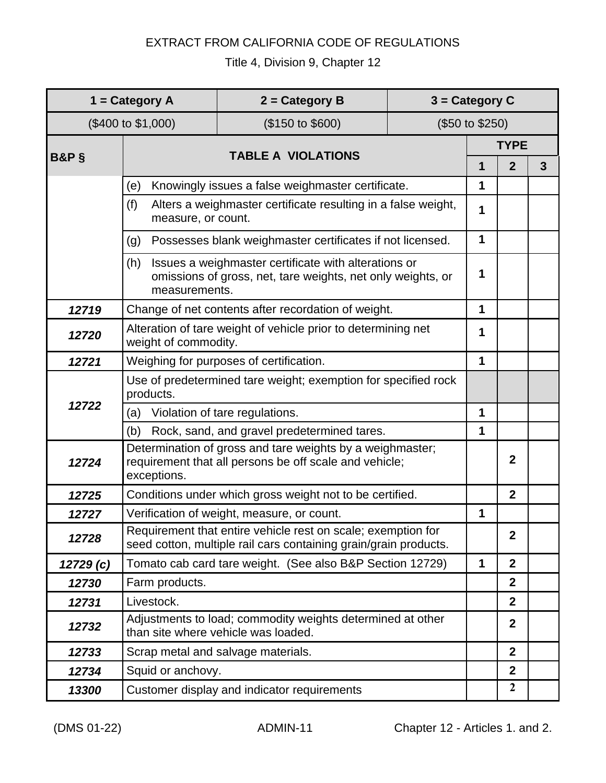|                  | $1 =$ Category A<br>$2 =$ Category B<br>$3 =$ Category C                                                                                    |                                                                                                                                  |  |                 |                  |   |
|------------------|---------------------------------------------------------------------------------------------------------------------------------------------|----------------------------------------------------------------------------------------------------------------------------------|--|-----------------|------------------|---|
|                  | (\$400 to \$1,000)                                                                                                                          | (\$150 to \$600)                                                                                                                 |  | (\$50 to \$250) |                  |   |
|                  |                                                                                                                                             |                                                                                                                                  |  |                 | <b>TYPE</b>      |   |
| <b>B&amp;P §</b> |                                                                                                                                             | <b>TABLE A VIOLATIONS</b>                                                                                                        |  |                 | $\overline{2}$   | 3 |
|                  | (e)                                                                                                                                         | Knowingly issues a false weighmaster certificate.                                                                                |  |                 |                  |   |
|                  | (f)<br>measure, or count.                                                                                                                   | Alters a weighmaster certificate resulting in a false weight,                                                                    |  | 1               |                  |   |
|                  | (g)                                                                                                                                         | Possesses blank weighmaster certificates if not licensed.                                                                        |  | 1               |                  |   |
|                  | Issues a weighmaster certificate with alterations or<br>(h)<br>omissions of gross, net, tare weights, net only weights, or<br>measurements. |                                                                                                                                  |  |                 |                  |   |
| 12719            |                                                                                                                                             | Change of net contents after recordation of weight.                                                                              |  | 1               |                  |   |
| 12720            |                                                                                                                                             | Alteration of tare weight of vehicle prior to determining net<br>weight of commodity.                                            |  |                 |                  |   |
| 12721            |                                                                                                                                             | Weighing for purposes of certification.                                                                                          |  | 1               |                  |   |
|                  | products.                                                                                                                                   | Use of predetermined tare weight; exemption for specified rock                                                                   |  |                 |                  |   |
| 12722            | Violation of tare regulations.<br>(a)                                                                                                       |                                                                                                                                  |  | 1               |                  |   |
|                  | (b)                                                                                                                                         | Rock, sand, and gravel predetermined tares.                                                                                      |  | 1               |                  |   |
| 12724            | exceptions.                                                                                                                                 | Determination of gross and tare weights by a weighmaster;<br>requirement that all persons be off scale and vehicle;              |  |                 | $\mathbf{2}$     |   |
| 12725            |                                                                                                                                             | Conditions under which gross weight not to be certified.                                                                         |  |                 | $\overline{2}$   |   |
| 12727            |                                                                                                                                             | Verification of weight, measure, or count.                                                                                       |  | 1               |                  |   |
| 12728            |                                                                                                                                             | Requirement that entire vehicle rest on scale; exemption for<br>seed cotton, multiple rail cars containing grain/grain products. |  |                 | $\boldsymbol{2}$ |   |
| 12729(c)         |                                                                                                                                             | Tomato cab card tare weight. (See also B&P Section 12729)                                                                        |  | 1               | $\overline{2}$   |   |
| 12730            | Farm products.                                                                                                                              |                                                                                                                                  |  |                 | $\mathbf{2}$     |   |
| 12731            | Livestock.                                                                                                                                  |                                                                                                                                  |  |                 | $\mathbf{2}$     |   |
| 12732            |                                                                                                                                             | Adjustments to load; commodity weights determined at other<br>than site where vehicle was loaded.                                |  |                 | $\mathbf{2}$     |   |
| 12733            |                                                                                                                                             | Scrap metal and salvage materials.                                                                                               |  |                 | $\overline{2}$   |   |
| 12734            | Squid or anchovy.                                                                                                                           |                                                                                                                                  |  |                 | $\mathbf{2}$     |   |
| 13300            |                                                                                                                                             | Customer display and indicator requirements                                                                                      |  |                 | $\boldsymbol{2}$ |   |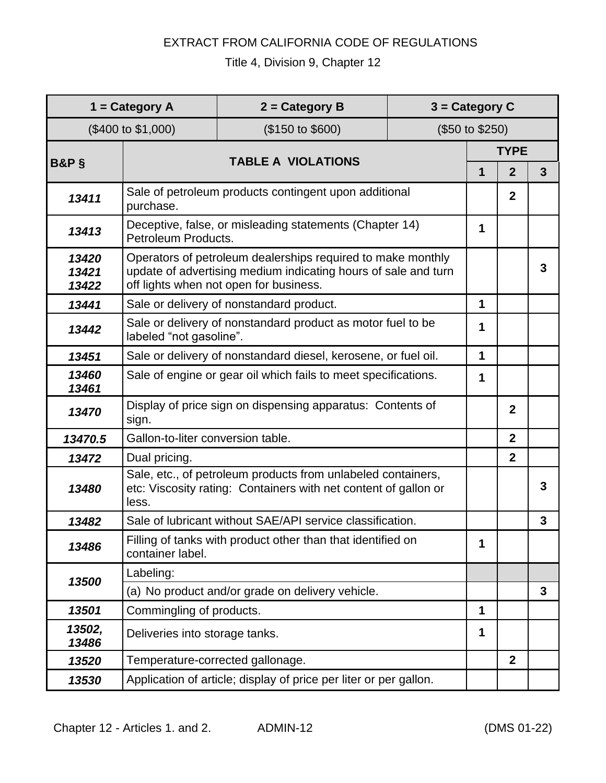| $1 =$ Category A<br>$2 =$ Category B<br>$3 =$ Category C |                                                                                                                                                                         |                                                                                                                                 |  |                 |                  |   |
|----------------------------------------------------------|-------------------------------------------------------------------------------------------------------------------------------------------------------------------------|---------------------------------------------------------------------------------------------------------------------------------|--|-----------------|------------------|---|
|                                                          | (\$400 to \$1,000)                                                                                                                                                      | (\$150 to \$600)                                                                                                                |  | (\$50 to \$250) |                  |   |
|                                                          |                                                                                                                                                                         |                                                                                                                                 |  |                 | <b>TYPE</b>      |   |
| <b>B&amp;P §</b>                                         |                                                                                                                                                                         | <b>TABLE A VIOLATIONS</b>                                                                                                       |  | 1               | $\overline{2}$   | 3 |
| 13411                                                    | purchase.                                                                                                                                                               | Sale of petroleum products contingent upon additional                                                                           |  |                 | $\overline{2}$   |   |
| 13413                                                    | Petroleum Products.                                                                                                                                                     | Deceptive, false, or misleading statements (Chapter 14)                                                                         |  | 1               |                  |   |
| 13420<br>13421<br>13422                                  | Operators of petroleum dealerships required to make monthly<br>update of advertising medium indicating hours of sale and turn<br>off lights when not open for business. |                                                                                                                                 |  |                 |                  | 3 |
| 13441                                                    |                                                                                                                                                                         | Sale or delivery of nonstandard product.                                                                                        |  | 1               |                  |   |
| 13442                                                    |                                                                                                                                                                         | Sale or delivery of nonstandard product as motor fuel to be<br>labeled "not gasoline".                                          |  |                 |                  |   |
| 13451                                                    |                                                                                                                                                                         | Sale or delivery of nonstandard diesel, kerosene, or fuel oil.                                                                  |  | 1               |                  |   |
| 13460<br>13461                                           | Sale of engine or gear oil which fails to meet specifications.                                                                                                          |                                                                                                                                 |  | 1               |                  |   |
| 13470                                                    | Display of price sign on dispensing apparatus: Contents of<br>sign.                                                                                                     |                                                                                                                                 |  |                 | $\overline{2}$   |   |
| 13470.5                                                  | Gallon-to-liter conversion table.                                                                                                                                       |                                                                                                                                 |  |                 | $\overline{2}$   |   |
| 13472                                                    | Dual pricing.                                                                                                                                                           |                                                                                                                                 |  |                 | $\overline{2}$   |   |
| 13480                                                    | less.                                                                                                                                                                   | Sale, etc., of petroleum products from unlabeled containers,<br>etc: Viscosity rating: Containers with net content of gallon or |  |                 |                  | 3 |
| 13482                                                    |                                                                                                                                                                         | Sale of lubricant without SAE/API service classification.                                                                       |  |                 |                  | 3 |
| 13486                                                    | container label.                                                                                                                                                        | Filling of tanks with product other than that identified on                                                                     |  | 1               |                  |   |
| 13500                                                    | Labeling:                                                                                                                                                               |                                                                                                                                 |  |                 |                  |   |
|                                                          |                                                                                                                                                                         | (a) No product and/or grade on delivery vehicle.                                                                                |  |                 |                  | 3 |
| 13501                                                    | Commingling of products.                                                                                                                                                |                                                                                                                                 |  | 1               |                  |   |
| 13502,<br>13486                                          | Deliveries into storage tanks.                                                                                                                                          |                                                                                                                                 |  | 1               |                  |   |
| 13520                                                    |                                                                                                                                                                         | Temperature-corrected gallonage.                                                                                                |  |                 | $\boldsymbol{2}$ |   |
| 13530                                                    |                                                                                                                                                                         | Application of article; display of price per liter or per gallon.                                                               |  |                 |                  |   |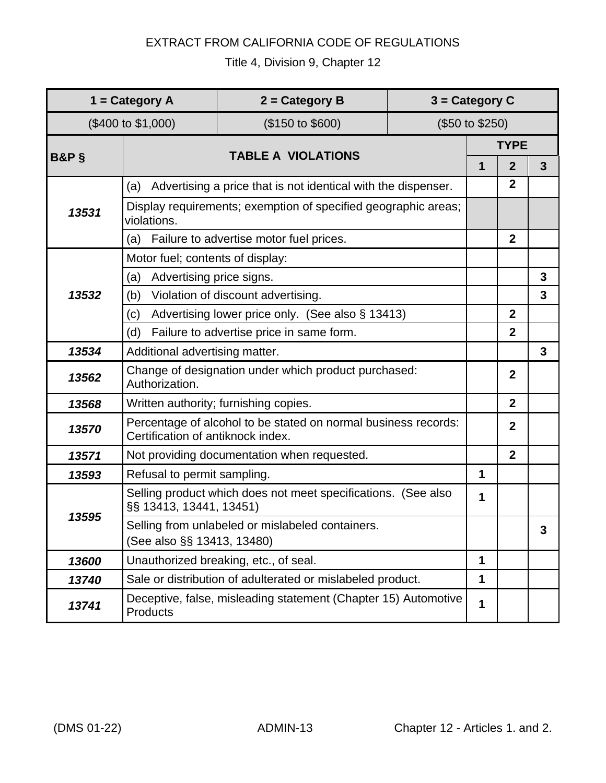|                  | $1 =$ Category A                                                       | $2 =$ Category B                                               | $3 =$ Category C |                 |                |   |
|------------------|------------------------------------------------------------------------|----------------------------------------------------------------|------------------|-----------------|----------------|---|
|                  | (\$400 to \$1,000)                                                     | (\$150 to \$600)                                               |                  | (\$50 to \$250) |                |   |
|                  |                                                                        |                                                                |                  |                 | <b>TYPE</b>    |   |
| <b>B&amp;P §</b> |                                                                        | <b>TABLE A VIOLATIONS</b>                                      |                  | 1               | $\overline{2}$ | 3 |
|                  | (a)                                                                    | Advertising a price that is not identical with the dispenser.  |                  |                 | $\mathbf{2}$   |   |
| 13531            | violations.                                                            | Display requirements; exemption of specified geographic areas; |                  |                 |                |   |
|                  | (a)                                                                    | Failure to advertise motor fuel prices.                        |                  |                 | $\mathbf{2}$   |   |
|                  | Motor fuel; contents of display:                                       |                                                                |                  |                 |                |   |
|                  | Advertising price signs.<br>(a)                                        |                                                                |                  |                 |                | 3 |
| 13532            | (b)                                                                    | Violation of discount advertising.                             |                  |                 |                | 3 |
|                  | Advertising lower price only. (See also § 13413)<br>(c)                |                                                                |                  |                 | $\overline{2}$ |   |
|                  | (d)                                                                    | Failure to advertise price in same form.                       |                  |                 |                |   |
| 13534            | Additional advertising matter.                                         |                                                                |                  |                 |                | 3 |
| 13562            | Change of designation under which product purchased:<br>Authorization. |                                                                |                  |                 | $\mathbf{2}$   |   |
| 13568            |                                                                        | Written authority; furnishing copies.                          |                  |                 | $\overline{2}$ |   |
| 13570            | Certification of antiknock index.                                      | Percentage of alcohol to be stated on normal business records: |                  |                 | $\overline{2}$ |   |
| 13571            |                                                                        | Not providing documentation when requested.                    |                  |                 | $\overline{2}$ |   |
| 13593            | Refusal to permit sampling.                                            |                                                                |                  | 1               |                |   |
|                  | §§ 13413, 13441, 13451)                                                | Selling product which does not meet specifications. (See also  |                  | 1               |                |   |
| 13595            | (See also §§ 13413, 13480)                                             | Selling from unlabeled or mislabeled containers.               |                  |                 |                | 2 |
| 13600            |                                                                        | Unauthorized breaking, etc., of seal.                          |                  | 1               |                |   |
| 13740            |                                                                        | Sale or distribution of adulterated or mislabeled product.     |                  | 1               |                |   |
| 13741            | Products                                                               | Deceptive, false, misleading statement (Chapter 15) Automotive |                  | 1               |                |   |